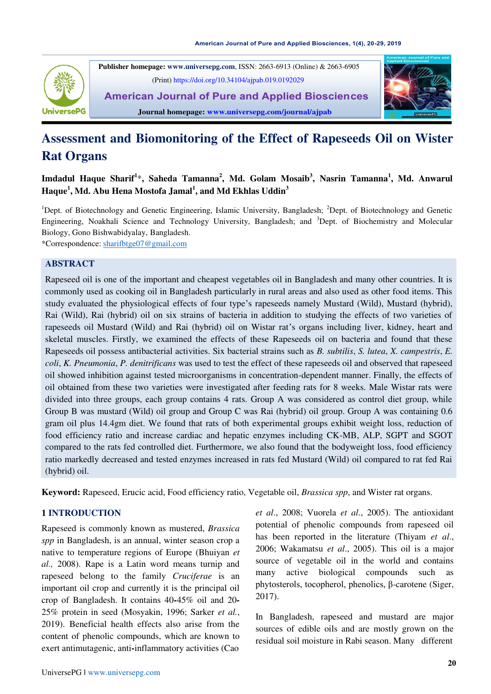

 **Publisher homepage: [www.universepg.com](http://www.universepg.com/)**, ISSN: 2663-6913 (Online) & 2663-6905 (Print[\) https://doi.org/10.34104/ajpab.019.0192029](https://doi.org/10.34104/ajpab.019.0192029)

**American Journal of Pure and Applied Biosciences Journal homepage: www.universepg.com/journal/ajpab**



# **Assessment and Biomonitoring of the Effect of Rapeseeds Oil on Wister Rat Organs**

**Imdadul Haque Sharif<sup>1</sup>** \***, Saheda Tamanna<sup>2</sup> , Md. Golam Mosaib<sup>3</sup> , Nasrin Tamanna<sup>1</sup> , Md. Anwarul Haque<sup>1</sup> , Md. Abu Hena Mostofa Jamal<sup>1</sup> , and Md Ekhlas Uddin<sup>3</sup>**

<sup>1</sup>Dept. of Biotechnology and Genetic Engineering, Islamic University, Bangladesh; <sup>2</sup>Dept. of Biotechnology and Genetic Engineering, Noakhali Science and Technology University, Bangladesh; and <sup>3</sup>Dept. of Biochemistry and Molecular Biology, Gono Bishwabidyalay, Bangladesh.

\*Correspondence: [sharifbtge07@gmail.com](mailto:sharifbtge07@gmail.com)

### **ABSTRACT**

Rapeseed oil is one of the important and cheapest vegetables oil in Bangladesh and many other countries. It is commonly used as cooking oil in Bangladesh particularly in rural areas and also used as other food items. This study evaluated the physiological effects of four type's rapeseeds namely Mustard (Wild), Mustard (hybrid), Rai (Wild), Rai (hybrid) oil on six strains of bacteria in addition to studying the effects of two varieties of rapeseeds oil Mustard (Wild) and Rai (hybrid) oil on Wistar rat's organs including liver, kidney, heart and skeletal muscles. Firstly, we examined the effects of these Rapeseeds oil on bacteria and found that these Rapeseeds oil possess antibacterial activities. Six bacterial strains such as *B. subtilis*, *S. lutea*, *X. campestris*, *E. coli*, *K. Pneumonia*, *P. denitrificans* was used to test the effect of these rapeseeds oil and observed that rapeseed oil showed inhibition against tested microorganisms in concentration-dependent manner. Finally, the effects of oil obtained from these two varieties were investigated after feeding rats for 8 weeks. Male Wistar rats were divided into three groups, each group contains 4 rats. Group A was considered as control diet group, while Group B was mustard (Wild) oil group and Group C was Rai (hybrid) oil group. Group A was containing 0.6 gram oil plus 14.4gm diet. We found that rats of both experimental groups exhibit weight loss, reduction of food efficiency ratio and increase cardiac and hepatic enzymes including CK-MB, ALP, SGPT and SGOT compared to the rats fed controlled diet. Furthermore, we also found that the bodyweight loss, food efficiency ratio markedly decreased and tested enzymes increased in rats fed Mustard (Wild) oil compared to rat fed Rai (hybrid) oil.

**Keyword:** Rapeseed, Erucic acid, Food efficiency ratio, Vegetable oil, *Brassica spp*, and Wister rat organs.

# **1 INTRODUCTION**

Rapeseed is commonly known as mustered, *Brassica spp* in Bangladesh, is an annual, winter season crop a native to temperature regions of Europe (Bhuiyan *et al.,* 2008). Rape is a Latin word means turnip and rapeseed belong to the family *Cruciferae* is an important oil crop and currently it is the principal oil crop of Bangladesh. It contains 40**-**45% oil and 20**-**  25% protein in seed (Mosyakin, 1996; Sarker *et al.*, 2019). Beneficial health effects also arise from the content of phenolic compounds, which are known to exert antimutagenic, anti**-**inflammatory activities (Cao

*et al*., 2008; Vuorela *et al*., 2005). The antioxidant potential of phenolic compounds from rapeseed oil has been reported in the literature (Thiyam *et al*., 2006; Wakamatsu *et al*., 2005). This oil is a major source of vegetable oil in the world and contains many active biological compounds such as phytosterols, tocopherol, phenolics, β-carotene (Siger, 2017).

In Bangladesh, rapeseed and mustard are major sources of edible oils and are mostly grown on the residual soil moisture in Rabi season. Many different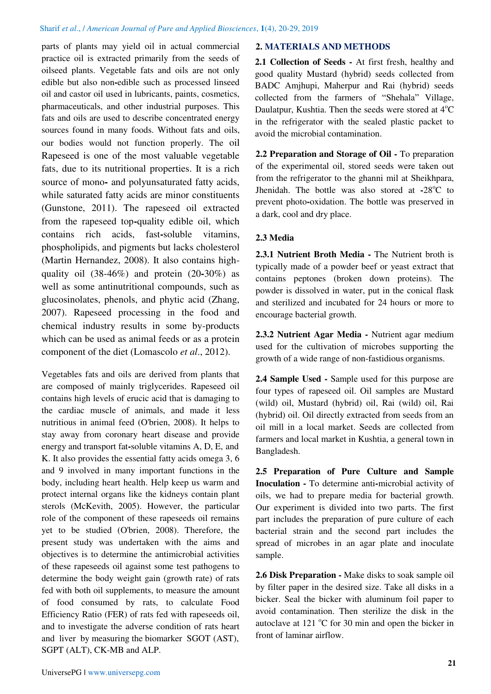parts of plants may yield oil in actual commercial practice oil is extracted primarily from the seeds of oilseed plants. Vegetable fats and oils are not only edible but also non**-**edible such as processed linseed oil and castor oil used in lubricants, paints, cosmetics, pharmaceuticals, and other industrial purposes. This fats and oils are used to describe concentrated energy sources found in many foods. Without fats and oils, our bodies would not function properly. The oil Rapeseed is one of the most valuable vegetable fats, due to its nutritional properties. It is a rich source of mono**-** and polyunsaturated fatty acids, while saturated fatty acids are minor constituents (Gunstone, 2011). The rapeseed oil extracted from the rapeseed top**-**quality edible oil, which contains rich acids, fast**-**soluble vitamins, phospholipids, and pigments but lacks cholesterol (Martin Hernandez, 2008). It also contains highquality oil (38-46%) and protein (20**-**30%) as well as some antinutritional compounds, such as glucosinolates, phenols, and phytic acid (Zhang, 2007). Rapeseed processing in the food and chemical industry results in some by-products which can be used as animal feeds or as a protein component of the diet (Lomascolo *et al*., 2012).

Vegetables fats and oils are derived from plants that are composed of mainly triglycerides. Rapeseed oil contains high levels of erucic acid that is damaging to the cardiac muscle of animals, and made it less nutritious in animal feed (O'brien, 2008). It helps to stay away from coronary heart disease and provide energy and transport fat**-**soluble vitamins A, D, E, and K. It also provides the essential fatty acids omega 3, 6 and 9 involved in many important functions in the body, including heart health. Help keep us warm and protect internal organs like the kidneys contain plant sterols (McKevith, 2005). However, the particular role of the component of these rapeseeds oil remains yet to be studied (O'brien, 2008). Therefore, the present study was undertaken with the aims and objectives is to determine the antimicrobial activities of these rapeseeds oil against some test pathogens to determine the body weight gain (growth rate) of rats fed with both oil supplements, to measure the amount of food consumed by rats, to calculate Food Efficiency Ratio (FER) of rats fed with rapeseeds oil, and to investigate the adverse condition of rats heart and liver by measuring the biomarker SGOT (AST), SGPT (ALT), CK-MB and ALP.

# **2. MATERIALS AND METHODS**

**2.1 Collection of Seeds -** At first fresh, healthy and good quality Mustard (hybrid) seeds collected from BADC Amjhupi, Maherpur and Rai (hybrid) seeds collected from the farmers of "Shehala" Village, Daulatpur, Kushtia. Then the seeds were stored at  $4^{\circ}C$ in the refrigerator with the sealed plastic packet to avoid the microbial contamination.

**2.2 Preparation and Storage of Oil -** To preparation of the experimental oil, stored seeds were taken out from the refrigerator to the ghanni mil at Sheikhpara, Jhenidah. The bottle was also stored at **-**28<sup>o</sup>C to prevent photo**-**oxidation. The bottle was preserved in a dark, cool and dry place.

# **2.3 Media**

**2.3.1 Nutrient Broth Media -** The Nutrient broth is typically made of a powder beef or yeast extract that contains peptones (broken down proteins). The powder is dissolved in water, put in the conical flask and sterilized and incubated for 24 hours or more to encourage bacterial growth.

**2.3.2 Nutrient Agar Media -** Nutrient agar medium used for the cultivation of microbes supporting the growth of a wide range of non-fastidious organisms.

**2.4 Sample Used -** Sample used for this purpose are four types of rapeseed oil. Oil samples are Mustard (wild) oil, Mustard (hybrid) oil, Rai (wild) oil, Rai (hybrid) oil. Oil directly extracted from seeds from an oil mill in a local market. Seeds are collected from farmers and local market in Kushtia, a general town in Bangladesh.

**2.5 Preparation of Pure Culture and Sample Inoculation -** To determine anti**-**microbial activity of oils, we had to prepare media for bacterial growth. Our experiment is divided into two parts. The first part includes the preparation of pure culture of each bacterial strain and the second part includes the spread of microbes in an agar plate and inoculate sample.

**2.6 Disk Preparation -** Make disks to soak sample oil by filter paper in the desired size. Take all disks in a bicker. Seal the bicker with aluminum foil paper to avoid contamination. Then sterilize the disk in the autoclave at 121  $\degree$ C for 30 min and open the bicker in front of laminar airflow.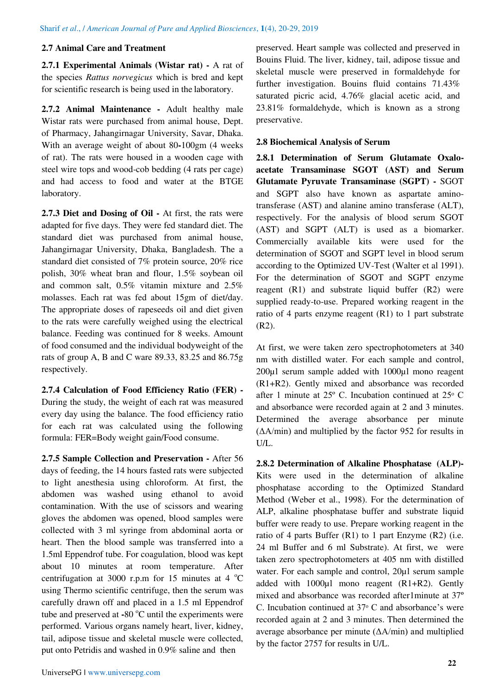# **2.7 Animal Care and Treatment**

**2.7.1 Experimental Animals (Wistar rat) -** A rat of the species *Rattus norvegicus* which is bred and kept for scientific research is being used in the laboratory.

**2.7.2 Animal Maintenance -** Adult healthy male Wistar rats were purchased from animal house, Dept. of Pharmacy, Jahangirnagar University, Savar, Dhaka. With an average weight of about 80**-**100gm (4 weeks of rat). The rats were housed in a wooden cage with steel wire tops and wood-cob bedding (4 rats per cage) and had access to food and water at the BTGE laboratory.

**2.7.3 Diet and Dosing of Oil -** At first, the rats were adapted for five days. They were fed standard diet. The standard diet was purchased from animal house, Jahangirnagar University, Dhaka, Bangladesh. The a standard diet consisted of 7% protein source, 20% rice polish, 30% wheat bran and flour, 1.5% soybean oil and common salt, 0.5% vitamin mixture and 2.5% molasses. Each rat was fed about 15gm of diet/day. The appropriate doses of rapeseeds oil and diet given to the rats were carefully weighed using the electrical balance. Feeding was continued for 8 weeks. Amount of food consumed and the individual bodyweight of the rats of group A, B and C ware 89.33, 83.25 and 86.75g respectively.

**2.7.4 Calculation of Food Efficiency Ratio (FER) -**  During the study, the weight of each rat was measured every day using the balance. The food efficiency ratio for each rat was calculated using the following formula: FER=Body weight gain/Food consume.

**2.7.5 Sample Collection and Preservation -** After 56 days of feeding, the 14 hours fasted rats were subjected to light anesthesia using chloroform. At first, the abdomen was washed using ethanol to avoid contamination. With the use of scissors and wearing gloves the abdomen was opened, blood samples were collected with 3 ml syringe from abdominal aorta or heart. Then the blood sample was transferred into a 1.5ml Eppendrof tube. For coagulation, blood was kept about 10 minutes at room temperature. After centrifugation at 3000 r.p.m for 15 minutes at 4  $^{\circ}$ C using Thermo scientific centrifuge, then the serum was carefully drawn off and placed in a 1.5 ml Eppendrof tube and preserved at **-**80 °C until the experiments were performed. Various organs namely heart, liver, kidney, tail, adipose tissue and skeletal muscle were collected, put onto Petridis and washed in 0.9% saline and then

preserved. Heart sample was collected and preserved in Bouins Fluid. The liver, kidney, tail, adipose tissue and skeletal muscle were preserved in formaldehyde for further investigation. Bouins fluid contains 71.43% saturated picric acid, 4.76% glacial acetic acid, and 23.81% formaldehyde, which is known as a strong preservative.

### **2.8 Biochemical Analysis of Serum**

**2.8.1 Determination of Serum Glutamate Oxaloacetate Transaminase SGOT (AST) and Serum Glutamate Pyruvate Transaminase (SGPT) -** SGOT and SGPT also have known as aspartate aminotransferase (AST) and alanine amino transferase (ALT), respectively. For the analysis of blood serum SGOT (AST) and SGPT (ALT) is used as a biomarker. Commercially available kits were used for the determination of SGOT and SGPT level in blood serum according to the Optimized UV-Test (Walter et al 1991). For the determination of SGOT and SGPT enzyme reagent (R1) and substrate liquid buffer (R2) were supplied ready-to-use. Prepared working reagent in the ratio of 4 parts enzyme reagent (R1) to 1 part substrate (R2).

At first, we were taken zero spectrophotometers at 340 nm with distilled water. For each sample and control, 200µl serum sample added with 1000µl mono reagent (R1+R2). Gently mixed and absorbance was recorded after 1 minute at  $25^{\circ}$  C. Incubation continued at  $25^{\circ}$  C and absorbance were recorded again at 2 and 3 minutes. Determined the average absorbance per minute (ΔA/min) and multiplied by the factor 952 for results in U/L.

**2.8.2 Determination of Alkaline Phosphatase (ALP)-**  Kits were used in the determination of alkaline phosphatase according to the Optimized Standard Method (Weber et al., 1998). For the determination of ALP, alkaline phosphatase buffer and substrate liquid buffer were ready to use. Prepare working reagent in the ratio of 4 parts Buffer  $(R1)$  to 1 part Enzyme  $(R2)$  (i.e. 24 ml Buffer and 6 ml Substrate). At first, we were taken zero spectrophotometers at 405 nm with distilled water. For each sample and control,  $20\mu$ l serum sample added with  $1000\mu$ l mono reagent  $(R1+R2)$ . Gently mixed and absorbance was recorded after1minute at 37º C. Incubation continued at  $37^{\circ}$  C and absorbance's were recorded again at 2 and 3 minutes. Then determined the average absorbance per minute (ΔA/min) and multiplied by the factor 2757 for results in U/L.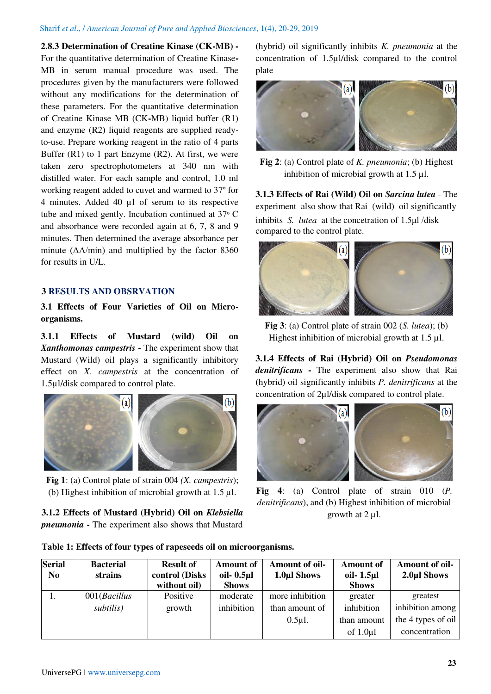#### Sharif *et al*., / *American Journal of Pure and Applied Biosciences*, **1**(4), 20-29, 2019

### **2.8.3 Determination of Creatine Kinase (CK-MB) -**

For the quantitative determination of Creatine Kinase**-**MB in serum manual procedure was used. The procedures given by the manufacturers were followed without any modifications for the determination of these parameters. For the quantitative determination of Creatine Kinase MB (CK**-**MB) liquid buffer (R1) and enzyme (R2) liquid reagents are supplied readyto-use. Prepare working reagent in the ratio of 4 parts Buffer  $(R1)$  to 1 part Enzyme  $(R2)$ . At first, we were taken zero spectrophotometers at 340 nm with distilled water. For each sample and control, 1.0 ml working reagent added to cuvet and warmed to 37º for 4 minutes. Added 40 µl of serum to its respective tube and mixed gently. Incubation continued at  $37^{\circ}$  C and absorbance were recorded again at 6, 7, 8 and 9 minutes. Then determined the average absorbance per minute (ΔA/min) and multiplied by the factor 8360 for results in U/L.

### **3 RESULTS AND OBSRVATION**

**3.1 Effects of Four Varieties of Oil on Microorganisms.** 

**3.1.1 Effects of Mustard (wild) Oil on**  *Xanthomonas campestris* **-** The experiment show that Mustard (Wild) oil plays a significantly inhibitory effect on *X. campestris* at the concentration of 1.5µl/disk compared to control plate.



**Fig 1**: (a) Control plate of strain 004 *(X. campestris*); (b) Highest inhibition of microbial growth at 1.5 µl.

**3.1.2 Effects of Mustard (Hybrid) Oil on** *Klebsiella pneumonia* **-** The experiment also shows that Mustard (hybrid) oil significantly inhibits *K. pneumonia* at the concentration of 1.5µl/disk compared to the control plate



**Fig 2**: (a) Control plate of *K. pneumonia*; (b) Highest inhibition of microbial growth at 1.5 µl.

**3.1.3 Effects of Rai (Wild) Oil on** *Sarcina lutea -* The experiment also show that Rai (wild) oil significantly inhibits *S. lutea* at the concetration of 1.5μl /disk compared to the control plate.



**Fig 3**: (a) Control plate of strain 002 (*S. lutea*); (b) Highest inhibition of microbial growth at 1.5 µl.

**3.1.4 Effects of Rai (Hybrid) Oil on** *Pseudomonas denitrificans* **-** The experiment also show that Rai (hybrid) oil significantly inhibits *P. denitrificans* at the concentration of 2µl/disk compared to control plate.



**Fig 4**: (a) Control plate of strain 010 (*P. denitrificans*), and (b) Highest inhibition of microbial growth at 2 µl.

|  |  | Table 1: Effects of four types of rapeseeds oil on microorganisms. |
|--|--|--------------------------------------------------------------------|
|--|--|--------------------------------------------------------------------|

| <b>Serial</b><br>N <sub>0</sub> | <b>Bacterial</b><br>strains | <b>Result of</b><br>control (Disks | <b>Amount of</b><br>oil- $0.5$ µl | Amount of oil-<br>1.0µl Shows | <b>Amount of</b><br>oil $-1.5$ µl | Amount of oil-<br>2.0µl Shows |
|---------------------------------|-----------------------------|------------------------------------|-----------------------------------|-------------------------------|-----------------------------------|-------------------------------|
|                                 |                             | without oil)                       | <b>Shows</b>                      |                               | <b>Shows</b>                      |                               |
|                                 | 001(Bacillus)               | Positive                           | moderate                          | more inhibition               | greater                           | greatest                      |
|                                 | subtilis)                   | growth                             | inhibition                        | than amount of                | inhibition                        | inhibition among              |
|                                 |                             |                                    |                                   | $0.5\mu$ l.                   | than amount                       | the 4 types of oil            |
|                                 |                             |                                    |                                   |                               | of $1.0\mu1$                      | concentration                 |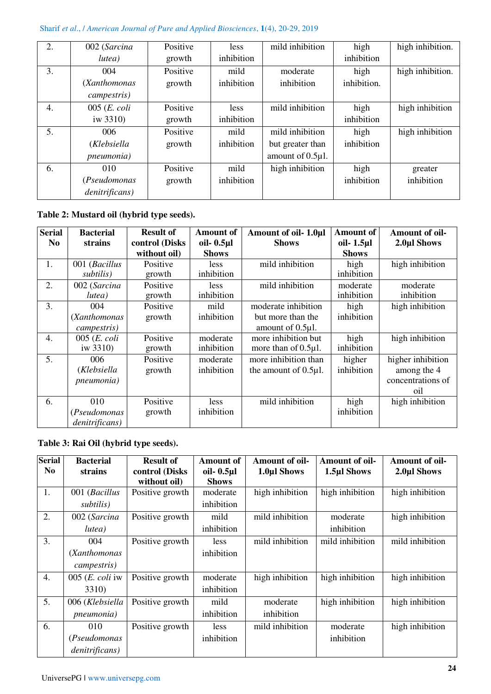# Sharif *et al*., / *American Journal of Pure and Applied Biosciences*, **1**(4), 20-29, 2019

| 2. | 002 (Sarcina           | Positive | less       | mild inhibition  | high        | high inhibition. |
|----|------------------------|----------|------------|------------------|-------------|------------------|
|    | lutea)                 | growth   | inhibition |                  | inhibition  |                  |
| 3. | 004                    | Positive | mild       | moderate         | high        | high inhibition. |
|    | (Xanthomonas           | growth   | inhibition | inhibition       | inhibition. |                  |
|    | campestris)            |          |            |                  |             |                  |
| 4. | $005$ ( <i>E. coli</i> | Positive | less       | mild inhibition  | high        | high inhibition  |
|    | iw $3310$ )            | growth   | inhibition |                  | inhibition  |                  |
| 5. | 006                    | Positive | mild       | mild inhibition  | high        | high inhibition  |
|    | (Klebsiella            | growth   | inhibition | but greater than | inhibition  |                  |
|    | pneumonia)             |          |            | amount of 0.5µl. |             |                  |
| 6. | 010                    | Positive | mild       | high inhibition  | high        | greater          |
|    | (Pseudomonas           | growth   | inhibition |                  | inhibition  | inhibition       |
|    | denitrificans)         |          |            |                  |             |                  |

# **Table 2: Mustard oil (hybrid type seeds).**

| <b>Serial</b>  | <b>Bacterial</b>                      | <b>Result of</b>               | <b>Amount of</b>              | Amount of oil- 1.0µl                                             | <b>Amount of</b>           | Amount of oil-                                               |
|----------------|---------------------------------------|--------------------------------|-------------------------------|------------------------------------------------------------------|----------------------------|--------------------------------------------------------------|
| N <sub>0</sub> | strains                               | control (Disks<br>without oil) | oil- $0.5$ µl<br><b>Shows</b> | <b>Shows</b>                                                     | oil- 1.5µl<br><b>Shows</b> | 2.0µl Shows                                                  |
| 1.             | 001 (Bacillus<br>subtilis)            | Positive<br>growth             | less<br>inhibition            | mild inhibition                                                  | high<br>inhibition         | high inhibition                                              |
| 2.             | 002 (Sarcina<br>lutea)                | Positive<br>growth             | less<br>inhibition            | mild inhibition                                                  | moderate<br>inhibition     | moderate<br>inhibition                                       |
| 3.             | 004<br>(Xanthomonas<br>campestris)    | Positive<br>growth             | mild<br>inhibition            | moderate inhibition<br>but more than the<br>amount of $0.5\mu$ . | high<br>inhibition         | high inhibition                                              |
| 4.             | $005$ ( <i>E. coli</i><br>iw 3310)    | Positive<br>growth             | moderate<br>inhibition        | more inhibition but<br>more than of $0.5\mu$ .                   | high<br>inhibition         | high inhibition                                              |
| 5.             | 006<br>(Klebsiella<br>pneumonia)      | Positive<br>growth             | moderate<br>inhibition        | more inhibition than<br>the amount of $0.5\mu$ .                 | higher<br>inhibition       | higher inhibition<br>among the 4<br>concentrations of<br>oil |
| 6.             | 010<br>(Pseudomonas<br>denitrificans) | Positive<br>growth             | <i>less</i><br>inhibition     | mild inhibition                                                  | high<br>inhibition         | high inhibition                                              |

# **Table 3: Rai Oil (hybrid type seeds).**

| <b>Serial</b><br>N <sub>0</sub> | <b>Bacterial</b><br>strains | <b>Result of</b><br>control (Disks | <b>Amount of</b><br>oil- $0.5$ µl | Amount of oil-<br>1.0µl Shows | Amount of oil-<br>1.5µl Shows | Amount of oil-<br>2.0µl Shows |
|---------------------------------|-----------------------------|------------------------------------|-----------------------------------|-------------------------------|-------------------------------|-------------------------------|
|                                 |                             | without oil)                       | <b>Shows</b>                      |                               |                               |                               |
| 1.                              | 001 (Bacillus               | Positive growth                    | moderate                          | high inhibition               | high inhibition               | high inhibition               |
|                                 | subtilis)                   |                                    | inhibition                        |                               |                               |                               |
| 2.                              | 002 (Sarcina                | Positive growth                    | mild                              | mild inhibition               | moderate                      | high inhibition               |
|                                 | lutea)                      |                                    | inhibition                        |                               | inhibition                    |                               |
| 3.                              | 004                         | Positive growth                    | less                              | mild inhibition               | mild inhibition               | mild inhibition               |
|                                 | (Xanthomonas)               |                                    | inhibition                        |                               |                               |                               |
|                                 | campestris)                 |                                    |                                   |                               |                               |                               |
| 4.                              | 005 $(E. \text{ coli}$ iw   | Positive growth                    | moderate                          | high inhibition               | high inhibition               | high inhibition               |
|                                 | <b>3310</b> )               |                                    | inhibition                        |                               |                               |                               |
| 5.                              | 006 (Klebsiella             | Positive growth                    | mild                              | moderate                      | high inhibition               | high inhibition               |
|                                 | <i>pneumonia</i> )          |                                    | inhibition                        | inhibition                    |                               |                               |
| 6.                              | 010                         | Positive growth                    | less                              | mild inhibition               | moderate                      | high inhibition               |
|                                 | (Pseudomonas                |                                    | inhibition                        |                               | inhibition                    |                               |
|                                 | denitrificans)              |                                    |                                   |                               |                               |                               |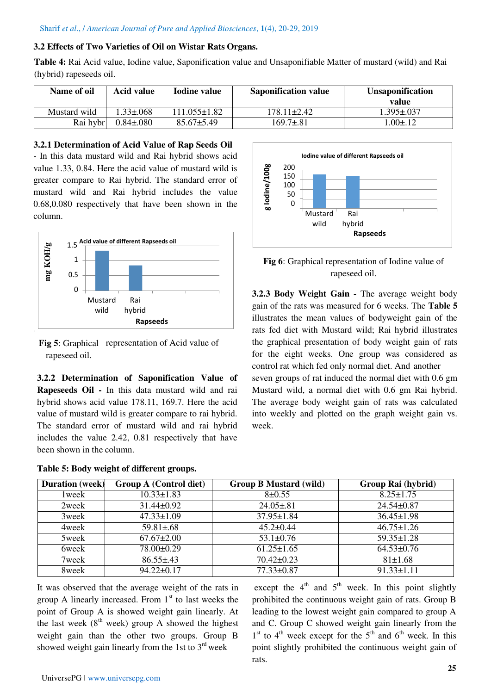### **3.2 Effects of Two Varieties of Oil on Wistar Rats Organs.**

**Table 4:** Rai Acid value, Iodine value, Saponification value and Unsaponifiable Matter of mustard (wild) and Rai (hybrid) rapeseeds oil.

| Name of oil  | Acid value       | <b>Iodine value</b> | <b>Saponification value</b> | <b>Unsaponification</b><br>value |
|--------------|------------------|---------------------|-----------------------------|----------------------------------|
| Mustard wild | $.33 + .068$     | $111.055 + 1.82$    | 178.11±2.42                 | $.395 \pm .037$                  |
| Rai hybr     | $0.84 \pm 0.080$ | $85.67 \pm 5.49$    | 169.7±.81                   | $.00 \pm .12$                    |

### **3.2.1 Determination of Acid Value of Rap Seeds Oil**

- In this data mustard wild and Rai hybrid shows acid value 1.33, 0.84. Here the acid value of mustard wild is greater compare to Rai hybrid. The standard error of mustard wild and Rai hybrid includes the value 0.68,0.080 respectively that have been shown in the column.





**3.2.2 Determination of Saponification Value of Rapeseeds Oil -** In this data mustard wild and rai hybrid shows acid value 178.11, 169.7. Here the acid value of mustard wild is greater compare to rai hybrid. The standard error of mustard wild and rai hybrid includes the value 2.42, 0.81 respectively that have been shown in the column.

|  |  |  |  |  | Table 5: Body weight of different groups. |  |
|--|--|--|--|--|-------------------------------------------|--|
|--|--|--|--|--|-------------------------------------------|--|



**Fig 6**: Graphical representation of Iodine value of rapeseed oil.

**3.2.3 Body Weight Gain -** The average weight body gain of the rats was measured for 6 weeks. The **Table 5**  illustrates the mean values of bodyweight gain of the rats fed diet with Mustard wild; Rai hybrid illustrates the graphical presentation of body weight gain of rats for the eight weeks. One group was considered as control rat which fed only normal diet. And another seven groups of rat induced the normal diet with 0.6 gm Mustard wild, a normal diet with 0.6 gm Rai hybrid. The average body weight gain of rats was calculated into weekly and plotted on the graph weight gain vs. week.

| <b>Duration</b> (week) | <b>Group A (Control diet)</b> | <b>Group B Mustard (wild)</b> | Group Rai (hybrid) |
|------------------------|-------------------------------|-------------------------------|--------------------|
| 1 week                 | $10.33 \pm 1.83$              | $8+0.55$                      | $8.25 \pm 1.75$    |
| 2week                  | $31.44 \pm 0.92$              | $24.05 \pm .81$               | $24.54 \pm 0.87$   |
| 3week                  | $47.33 \pm 1.09$              | $37.95 \pm 1.84$              | $36.45 \pm 1.98$   |
| 4week                  | $59.81 \pm .68$               | $45.2 \pm 0.44$               | $46.75 \pm 1.26$   |
| 5week                  | $67.67 \pm 2.00$              | $53.1 \pm 0.76$               | $59.35 \pm 1.28$   |
| 6week                  | $78.00 \pm 0.29$              | $61.25 \pm 1.65$              | $64.53 \pm 0.76$   |
| 7week                  | $86.55 \pm .43$               | $70.42 \pm 0.23$              | $81 \pm 1.68$      |
| 8week                  | $94.22 \pm 0.17$              | $77.33 \pm 0.87$              | $91.33 \pm 1.11$   |

It was observed that the average weight of the rats in group A linearly increased. From  $1<sup>st</sup>$  to last weeks the point of Group A is showed weight gain linearly. At the last week  $(8<sup>th</sup>$  week) group A showed the highest weight gain than the other two groups. Group B showed weight gain linearly from the 1st to  $3<sup>rd</sup>$  week

except the  $4<sup>th</sup>$  and  $5<sup>th</sup>$  week. In this point slightly prohibited the continuous weight gain of rats. Group B leading to the lowest weight gain compared to group A and C. Group C showed weight gain linearly from the  $1<sup>st</sup>$  to  $4<sup>th</sup>$  week except for the  $5<sup>th</sup>$  and  $6<sup>th</sup>$  week. In this point slightly prohibited the continuous weight gain of rats.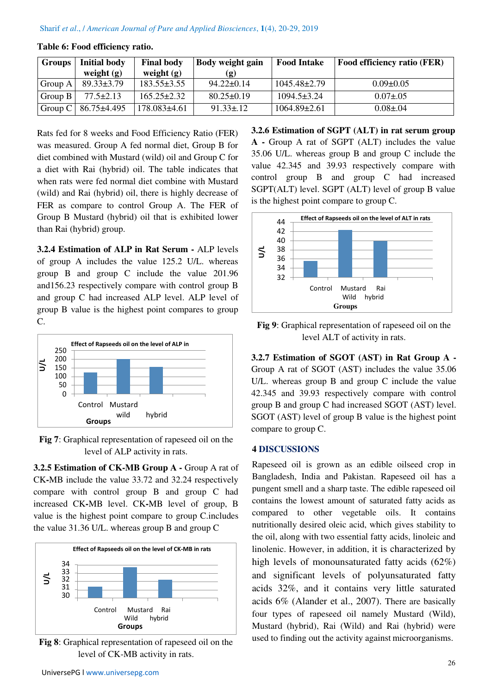| <b>Groups</b> | Initial body                | <b>Final body</b> | Body weight gain | <b>Food Intake</b> | <b>Food efficiency ratio (FER)</b> |
|---------------|-----------------------------|-------------------|------------------|--------------------|------------------------------------|
|               | weight $(g)$                | weight $(g)$      |                  |                    |                                    |
| Group A       | $89.33 \pm 3.79$            | $183.55 \pm 3.55$ | $94.22 \pm 0.14$ | 1045.48±2.79       | $0.09 \pm 0.05$                    |
| Group B       | $77.5 \pm 2.13$             | $165.25 \pm 2.32$ | $80.25 \pm 0.19$ | $1094.5 \pm 3.24$  | $0.07 \pm 0.05$                    |
|               | Group C   $86.75 \pm 4.495$ | $178.083\pm4.61$  | $91.33 \pm .12$  | $1064.89\pm2.61$   | $0.08 \pm 0.04$                    |

### **Table 6: Food efficiency ratio.**

Rats fed for 8 weeks and Food Efficiency Ratio (FER) was measured. Group A fed normal diet, Group B for diet combined with Mustard (wild) oil and Group C for a diet with Rai (hybrid) oil. The table indicates that when rats were fed normal diet combine with Mustard (wild) and Rai (hybrid) oil, there is highly decrease of FER as compare to control Group A. The FER of Group B Mustard (hybrid) oil that is exhibited lower than Rai (hybrid) group.

**3.2.4 Estimation of ALP in Rat Serum -** ALP levels of group A includes the value 125.2 U/L. whereas group B and group C include the value 201.96 and156.23 respectively compare with control group B and group C had increased ALP level. ALP level of group B value is the highest point compares to group C.



**Fig 7**: Graphical representation of rapeseed oil on the level of ALP activity in rats.

**3.2.5 Estimation of CK-MB Group A - Group A rat of** CK**-**MB include the value 33.72 and 32.24 respectively compare with control group B and group C had increased CK**-**MB level. CK**-**MB level of group, B value is the highest point compare to group C.includes the value 31.36 U/L. whereas group B and group C



**Fig 8**: Graphical representation of rapeseed oil on the level of CK-MB activity in rats.

**3.2.6 Estimation of SGPT (ALT) in rat serum group A -** Group A rat of SGPT (ALT) includes the value 35.06 U/L. whereas group B and group C include the value 42.345 and 39.93 respectively compare with control group B and group C had increased SGPT(ALT) level. SGPT (ALT) level of group B value is the highest point compare to group C.



**Fig 9**: Graphical representation of rapeseed oil on the level ALT of activity in rats.

**3.2.7 Estimation of SGOT (AST) in Rat Group A -**  Group A rat of SGOT (AST) includes the value 35.06 U/L. whereas group B and group C include the value 42.345 and 39.93 respectively compare with control group B and group C had increased SGOT (AST) level. SGOT (AST) level of group B value is the highest point compare to group C.

### **4 DISCUSSIONS**

Rapeseed oil is grown as an edible oilseed crop in Bangladesh, India and Pakistan. Rapeseed oil has a pungent smell and a sharp taste. The edible rapeseed oil contains the lowest amount of saturated fatty acids as compared to other vegetable oils. It contains nutritionally desired oleic acid, which gives stability to the oil, along with two essential fatty acids, linoleic and linolenic. However, in addition, it is characterized by high levels of monounsaturated fatty acids (62%) and significant levels of polyunsaturated fatty acids 32%, and it contains very little saturated acids 6% (Alander et al., 2007). There are basically four types of rapeseed oil namely Mustard (Wild), Mustard (hybrid), Rai (Wild) and Rai (hybrid) were used to finding out the activity against microorganisms.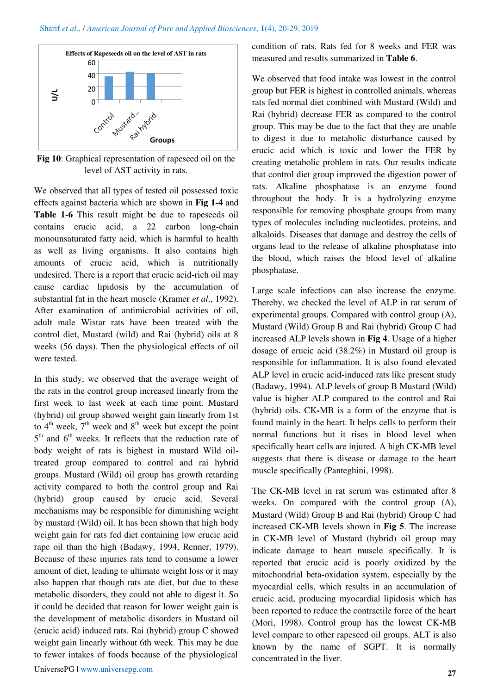

**Fig 10**: Graphical representation of rapeseed oil on the level of AST activity in rats.

We observed that all types of tested oil possessed toxic effects against bacteria which are shown in **Fig 1-4** and **Table 1-6** This result might be due to rapeseeds oil contains erucic acid, a 22 carbon long**-**chain monounsaturated fatty acid, which is harmful to health as well as living organisms. It also contains high amounts of erucic acid, which is nutritionally undesired. There is a report that erucic acid**-**rich oil may cause cardiac lipidosis by the accumulation of substantial fat in the heart muscle (Kramer *et al*., 1992). After examination of antimicrobial activities of oil, adult male Wistar rats have been treated with the control diet, Mustard (wild) and Rai (hybrid) oils at 8 weeks (56 days). Then the physiological effects of oil were tested.

In this study, we observed that the average weight of the rats in the control group increased linearly from the first week to last week at each time point. Mustard (hybrid) oil group showed weight gain linearly from 1st to  $4<sup>th</sup>$  week,  $7<sup>th</sup>$  week and  $8<sup>th</sup>$  week but except the point 5<sup>th</sup> and 6<sup>th</sup> weeks. It reflects that the reduction rate of body weight of rats is highest in mustard Wild oiltreated group compared to control and rai hybrid groups. Mustard (Wild) oil group has growth retarding activity compared to both the control group and Rai (hybrid) group caused by erucic acid. Several mechanisms may be responsible for diminishing weight by mustard (Wild) oil. It has been shown that high body weight gain for rats fed diet containing low erucic acid rape oil than the high (Badawy, 1994, Renner, 1979). Because of these injuries rats tend to consume a lower amount of diet, leading to ultimate weight loss or it may also happen that though rats ate diet, but due to these metabolic disorders, they could not able to digest it. So it could be decided that reason for lower weight gain is the development of metabolic disorders in Mustard oil (erucic acid) induced rats. Rai (hybrid) group C showed weight gain linearly without 6th week. This may be due to fewer intakes of foods because of the physiological

condition of rats. Rats fed for 8 weeks and FER was measured and results summarized in **Table 6**.

We observed that food intake was lowest in the control group but FER is highest in controlled animals, whereas rats fed normal diet combined with Mustard (Wild) and Rai (hybrid) decrease FER as compared to the control group. This may be due to the fact that they are unable to digest it due to metabolic disturbance caused by erucic acid which is toxic and lower the FER by creating metabolic problem in rats. Our results indicate that control diet group improved the digestion power of rats. Alkaline phosphatase is an enzyme found throughout the body. It is a hydrolyzing enzyme responsible for removing phosphate groups from many types of molecules including nucleotides, proteins, and alkaloids. Diseases that damage and destroy the cells of organs lead to the release of alkaline phosphatase into the blood, which raises the blood level of alkaline phosphatase.

Large scale infections can also increase the enzyme. Thereby, we checked the level of ALP in rat serum of experimental groups. Compared with control group (A), Mustard (Wild) Group B and Rai (hybrid) Group C had increased ALP levels shown in **Fig 4**. Usage of a higher dosage of erucic acid (38.2%) in Mustard oil group is responsible for inflammation. It is also found elevated ALP level in erucic acid**-**induced rats like present study (Badawy, 1994). ALP levels of group B Mustard (Wild) value is higher ALP compared to the control and Rai (hybrid) oils. CK**-**MB is a form of the enzyme that is found mainly in the heart. It helps cells to perform their normal functions but it rises in blood level when specifically heart cells are injured. A high CK**-**MB level suggests that there is disease or damage to the heart muscle specifically (Panteghini, 1998).

The CK**-**MB level in rat serum was estimated after 8 weeks. On compared with the control group (A), Mustard (Wild) Group B and Rai (hybrid) Group C had increased CK**-**MB levels shown in **Fig 5**. The increase in CK**-**MB level of Mustard (hybrid) oil group may indicate damage to heart muscle specifically. It is reported that erucic acid is poorly oxidized by the mitochondrial beta**-**oxidation system, especially by the myocardial cells, which results in an accumulation of erucic acid, producing myocardial lipidosis which has been reported to reduce the contractile force of the heart (Mori, 1998). Control group has the lowest CK**-**MB level compare to other rapeseed oil groups. ALT is also known by the name of SGPT. It is normally concentrated in the liver.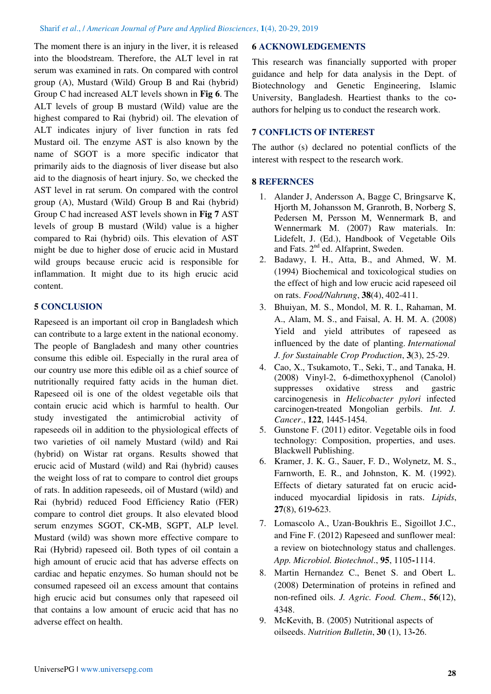The moment there is an injury in the liver, it is released into the bloodstream. Therefore, the ALT level in rat serum was examined in rats. On compared with control group (A), Mustard (Wild) Group B and Rai (hybrid) Group C had increased ALT levels shown in **Fig 6**. The ALT levels of group B mustard (Wild) value are the highest compared to Rai (hybrid) oil. The elevation of ALT indicates injury of liver function in rats fed Mustard oil. The enzyme AST is also known by the name of SGOT is a more specific indicator that primarily aids to the diagnosis of liver disease but also aid to the diagnosis of heart injury. So, we checked the AST level in rat serum. On compared with the control group (A), Mustard (Wild) Group B and Rai (hybrid) Group C had increased AST levels shown in **Fig 7** AST levels of group B mustard (Wild) value is a higher compared to Rai (hybrid) oils. This elevation of AST might be due to higher dose of erucic acid in Mustard wild groups because erucic acid is responsible for inflammation. It might due to its high erucic acid content.

# **5 CONCLUSION**

Rapeseed is an important oil crop in Bangladesh which can contribute to a large extent in the national economy. The people of Bangladesh and many other countries consume this edible oil. Especially in the rural area of our country use more this edible oil as a chief source of nutritionally required fatty acids in the human diet. Rapeseed oil is one of the oldest vegetable oils that contain erucic acid which is harmful to health. Our study investigated the antimicrobial activity of rapeseeds oil in addition to the physiological effects of two varieties of oil namely Mustard (wild) and Rai (hybrid) on Wistar rat organs. Results showed that erucic acid of Mustard (wild) and Rai (hybrid) causes the weight loss of rat to compare to control diet groups of rats. In addition rapeseeds, oil of Mustard (wild) and Rai (hybrid) reduced Food Efficiency Ratio (FER) compare to control diet groups. It also elevated blood serum enzymes SGOT, CK**-**MB, SGPT, ALP level. Mustard (wild) was shown more effective compare to Rai (Hybrid) rapeseed oil. Both types of oil contain a high amount of erucic acid that has adverse effects on cardiac and hepatic enzymes. So human should not be consumed rapeseed oil an excess amount that contains high erucic acid but consumes only that rapeseed oil that contains a low amount of erucic acid that has no adverse effect on health.

# **6 ACKNOWLEDGEMENTS**

This research was financially supported with proper guidance and help for data analysis in the Dept. of Biotechnology and Genetic Engineering, Islamic University, Bangladesh. Heartiest thanks to the coauthors for helping us to conduct the research work.

# **7 CONFLICTS OF INTEREST**

The author (s) declared no potential conflicts of the interest with respect to the research work.

# **8 REFERNCES**

- 1. Alander J, Andersson A, Bagge C, Bringsarve K, Hjorth M, Johansson M, Granroth, B, Norberg S, Pedersen M, Persson M, Wennermark B, and Wennermark M. (2007) Raw materials. In: Lidefelt, J. (Ed.), Handbook of Vegetable Oils and Fats. 2<sup>nd</sup> ed. Alfaprint, Sweden.
- 2. Badawy, I. H., Atta, B., and Ahmed, W. M. (1994) Biochemical and toxicological studies on the effect of high and low erucic acid rapeseed oil on rats. *Food/Nahrung*, **38**(4), 402-411.
- 3. Bhuiyan, M. S., Mondol, M. R. I., Rahaman, M. A., Alam, M. S., and Faisal, A. H. M. A. (2008) Yield and yield attributes of rapeseed as influenced by the date of planting. *International J. for Sustainable Crop Production*, **3**(3), 25-29.
- 4. Cao, X., Tsukamoto, T., Seki, T., and Tanaka, H. (2008) Vinyl-2, 6-dimethoxyphenol (Canolol) suppresses oxidative stress and gastric carcinogenesis in *Helicobacter pylori* infected carcinogen**-**treated Mongolian gerbils. *Int. J. Cancer*., **122**, 1445-1454.
- 5. Gunstone F. (2011) editor. Vegetable oils in food technology: Composition, properties, and uses. Blackwell Publishing.
- 6. Kramer, J. K. G., Sauer, F. D., Wolynetz, M. S., Farnworth, E. R., and Johnston, K. M. (1992). Effects of dietary saturated fat on erucic acidinduced myocardial lipidosis in rats. *Lipids*, **27**(8), 619**-**623.
- 7. Lomascolo A., Uzan-Boukhris E., Sigoillot J.C., and Fine F. (2012) Rapeseed and sunflower meal: a review on biotechnology status and challenges. *App. Microbiol. Biotechnol*., **95**, 1105**-**1114.
- 8. Martin Hernandez C., Benet S. and Obert L. (2008) Determination of proteins in refined and non-refined oils. *J. Agric. Food. Chem*., **56**(12), 4348.
- 9. McKevith, B. (2005) Nutritional aspects of oilseeds. *Nutrition Bulletin*, **30** (1), 13**-**26.